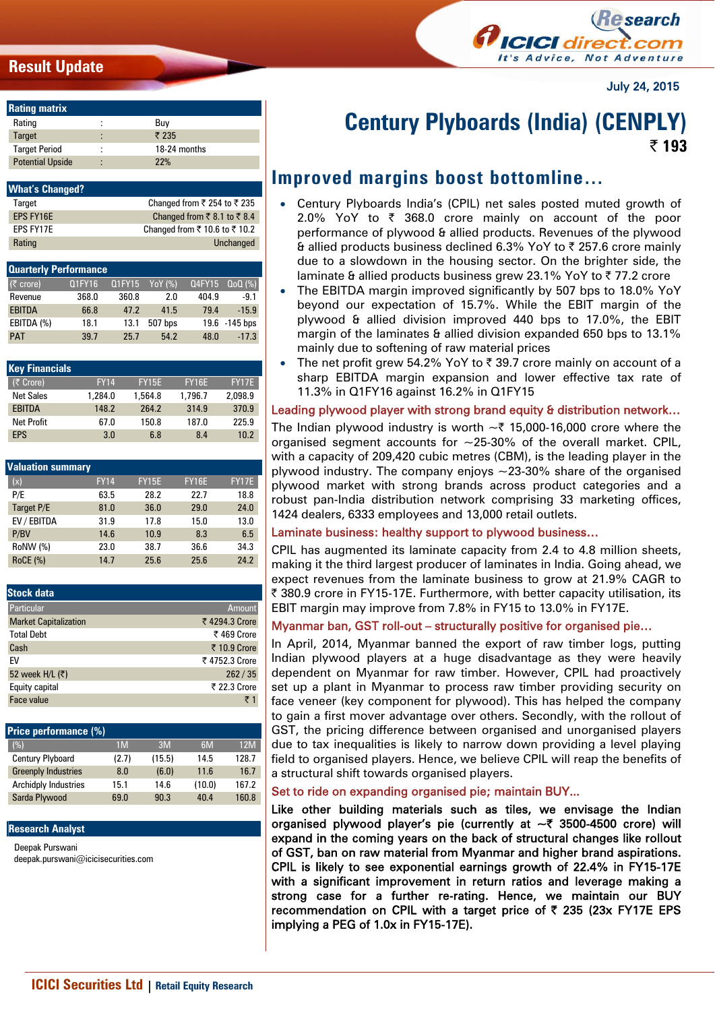## **Result Update**



July 24, 2015

| <b>Rating matrix</b>    |                               |              |
|-------------------------|-------------------------------|--------------|
| Rating                  |                               | Buv          |
| <b>Target</b>           | ٠                             | ₹ 235        |
| <b>Target Period</b>    | ٠<br>$\overline{\phantom{a}}$ | 18-24 months |
| <b>Potential Upside</b> | $\bullet$                     | 22%          |

| <b>What's Changed?</b> |                                                           |
|------------------------|-----------------------------------------------------------|
| Target                 | Changed from ₹ 254 to ₹ 235                               |
| <b>EPS FY16E</b>       | Changed from $\overline{\xi}$ 8.1 to $\overline{\xi}$ 8.4 |
| FPS FY17F              | Changed from ₹ 10.6 to ₹ 10.2                             |
| Rating                 | Unchanged                                                 |

| <b>Quarterly Performance</b> |        |        |         |        |               |  |  |  |  |
|------------------------------|--------|--------|---------|--------|---------------|--|--|--|--|
| $(\bar{z}$ crore)            | Q1FY16 | Q1FY15 | YoY (%) | Q4FY15 | $Q_0Q(\%)$    |  |  |  |  |
| Revenue                      | 368.0  | 360.8  | 2.0     | 404.9  | $-9.1$        |  |  |  |  |
| <b>EBITDA</b>                | 66.8   | 47.2   | 41.5    | 79.4   | $-15.9$       |  |  |  |  |
| EBITDA (%)                   | 18.1   | 13.1   | 507 bps |        | 19.6 -145 bps |  |  |  |  |
| <b>PAT</b>                   | 39.7   | 25.7   | 54.2    | 48.0   | $-17.3$       |  |  |  |  |

| <b>Key Financials</b> |             |              |              |         |
|-----------------------|-------------|--------------|--------------|---------|
| (₹ Crore)             | <b>FY14</b> | <b>FY15E</b> | <b>FY16E</b> | FY17E   |
| <b>Net Sales</b>      | 1,284.0     | 1,564.8      | 1.796.7      | 2.098.9 |
| <b>EBITDA</b>         | 148.2       | 264.2        | 314.9        | 370.9   |
| <b>Net Profit</b>     | 67.0        | 150.8        | 187.0        | 225.9   |
| <b>FPS</b>            | 3.0         | 6.8          | 8.4          | 10.2    |

| <b>Valuation summary</b> |             |              |              |              |  |  |  |  |  |
|--------------------------|-------------|--------------|--------------|--------------|--|--|--|--|--|
| (x)                      | <b>FY14</b> | <b>FY15E</b> | <b>FY16E</b> | <b>FY17E</b> |  |  |  |  |  |
| P/E                      | 63.5        | 28.2         | 22.7         | 18.8         |  |  |  |  |  |
| Target P/E               | 81.0        | 36.0         | 29.0         | 24.0         |  |  |  |  |  |
| EV / EBITDA              | 31.9        | 17.8         | 15.0         | 13.0         |  |  |  |  |  |
| P/BV                     | 14.6        | 10.9         | 8.3          | 6.5          |  |  |  |  |  |
| RoNW (%)                 | 23.0        | 38.7         | 36.6         | 34.3         |  |  |  |  |  |
| <b>RoCE (%)</b>          | 14.7        | 25.6         | 25.6         | 24.2         |  |  |  |  |  |

| <b>Stock data</b>            |               |
|------------------------------|---------------|
| Particular                   | <b>Amount</b> |
| <b>Market Capitalization</b> | ₹4294.3 Crore |
| <b>Total Debt</b>            | ₹469 Crore    |
| Cash                         | ₹ 10.9 Crore  |
| FV                           | ₹4752.3 Crore |
| 52 week H/L (₹)              | 262/35        |
| Equity capital               | ₹ 22.3 Crore  |
| Face value                   | ₹1            |

| <b>Price performance (%)</b> |        |        |       |
|------------------------------|--------|--------|-------|
| 1 <sub>M</sub>               | 3M     | 6M     | 12M   |
| (2.7)                        | (15.5) | 14.5   | 128.7 |
| 8.0                          | (6.0)  | 11.6   | 16.7  |
| 15.1                         | 14.6   | (10.0) | 167.2 |
| 69.0                         | 90.3   | 40.4   | 160.8 |
|                              |        |        |       |

#### **Research Analyst**

Deepak Purswani deepak.purswani@icicisecurities.com

# **Century Plyboards (India) (CENPLY) | 193**

# **Improved margins boost bottomline…**

- Century Plyboards India's (CPIL) net sales posted muted growth of 2.0% YoY to  $\bar{\tau}$  368.0 crore mainly on account of the poor performance of plywood & allied products. Revenues of the plywood & allied products business declined 6.3% YoY to  $\bar{z}$  257.6 crore mainly due to a slowdown in the housing sector. On the brighter side, the laminate & allied products business grew 23.1% YoY to  $\overline{\zeta}$  77.2 crore
- The EBITDA margin improved significantly by 507 bps to 18.0% YoY beyond our expectation of 15.7%. While the EBIT margin of the plywood & allied division improved 440 bps to 17.0%, the EBIT margin of the laminates & allied division expanded 650 bps to 13.1% mainly due to softening of raw material prices
- The net profit grew 54.2% YoY to  $\bar{\tau}$  39.7 crore mainly on account of a sharp EBITDA margin expansion and lower effective tax rate of 11.3% in Q1FY16 against 16.2% in Q1FY15

## Leading plywood player with strong brand equity & distribution network...

The Indian plywood industry is worth  $\sim$  ₹ 15,000-16,000 crore where the organised segment accounts for  $\sim$  25-30% of the overall market. CPIL, with a capacity of 209,420 cubic metres (CBM), is the leading player in the plywood industry. The company enjoys  $\sim$  23-30% share of the organised plywood market with strong brands across product categories and a robust pan-India distribution network comprising 33 marketing offices, 1424 dealers, 6333 employees and 13,000 retail outlets.

## Laminate business: healthy support to plywood business…

CPIL has augmented its laminate capacity from 2.4 to 4.8 million sheets, making it the third largest producer of laminates in India. Going ahead, we expect revenues from the laminate business to grow at 21.9% CAGR to ₹ 380.9 crore in FY15-17E. Furthermore, with better capacity utilisation, its EBIT margin may improve from 7.8% in FY15 to 13.0% in FY17E.

## Myanmar ban, GST roll-out – structurally positive for organised pie…

In April, 2014, Myanmar banned the export of raw timber logs, putting Indian plywood players at a huge disadvantage as they were heavily dependent on Myanmar for raw timber. However, CPIL had proactively set up a plant in Myanmar to process raw timber providing security on face veneer (key component for plywood). This has helped the company to gain a first mover advantage over others. Secondly, with the rollout of GST, the pricing difference between organised and unorganised players due to tax inequalities is likely to narrow down providing a level playing field to organised players. Hence, we believe CPIL will reap the benefits of a structural shift towards organised players.

## Set to ride on expanding organised pie; maintain BUY...

Like other building materials such as tiles, we envisage the Indian organised plywood player's pie (currently at  $\sim$  3500-4500 crore) will expand in the coming years on the back of structural changes like rollout of GST, ban on raw material from Myanmar and higher brand aspirations. CPIL is likely to see exponential earnings growth of 22.4% in FY15-17E with a significant improvement in return ratios and leverage making a strong case for a further re-rating. Hence, we maintain our BUY recommendation on CPIL with a target price of  $\bar{\tau}$  235 (23x FY17E EPS implying a PEG of 1.0x in FY15-17E).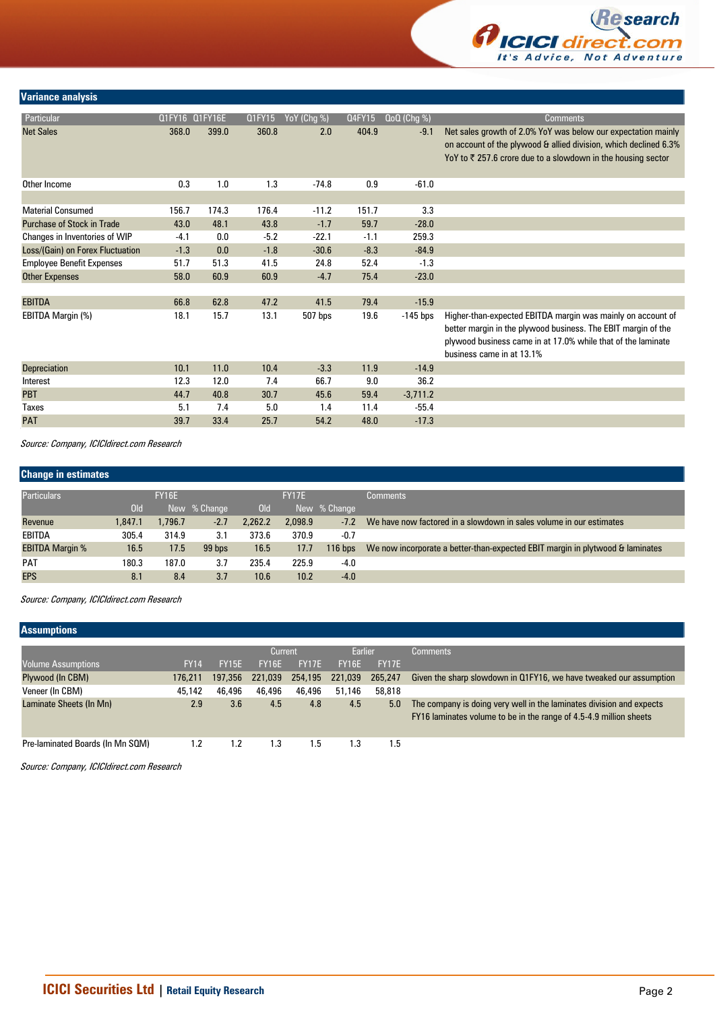

### **Variance analysis**

| Particular                        | Q1FY16 Q1FY16E |       | Q1FY15 | YoY (Chg %) | Q4FY15 | $QoQ$ (Chg %) | Comments,                                                                                                                                                                                                                 |
|-----------------------------------|----------------|-------|--------|-------------|--------|---------------|---------------------------------------------------------------------------------------------------------------------------------------------------------------------------------------------------------------------------|
| <b>Net Sales</b>                  | 368.0          | 399.0 | 360.8  | 2.0         | 404.9  | $-9.1$        | Net sales growth of 2.0% YoY was below our expectation mainly<br>on account of the plywood & allied division, which declined 6.3%<br>YoY to $\bar{\tau}$ 257.6 crore due to a slowdown in the housing sector              |
| Other Income                      | 0.3            | 1.0   | 1.3    | $-74.8$     | 0.9    | $-61.0$       |                                                                                                                                                                                                                           |
|                                   |                |       |        |             |        |               |                                                                                                                                                                                                                           |
| <b>Material Consumed</b>          | 156.7          | 174.3 | 176.4  | $-11.2$     | 151.7  | 3.3           |                                                                                                                                                                                                                           |
| <b>Purchase of Stock in Trade</b> | 43.0           | 48.1  | 43.8   | $-1.7$      | 59.7   | $-28.0$       |                                                                                                                                                                                                                           |
| Changes in Inventories of WIP     | $-4.1$         | 0.0   | $-5.2$ | $-22.1$     | $-1.1$ | 259.3         |                                                                                                                                                                                                                           |
| Loss/(Gain) on Forex Fluctuation  | $-1.3$         | 0.0   | $-1.8$ | $-30.6$     | $-8.3$ | $-84.9$       |                                                                                                                                                                                                                           |
| <b>Employee Benefit Expenses</b>  | 51.7           | 51.3  | 41.5   | 24.8        | 52.4   | $-1.3$        |                                                                                                                                                                                                                           |
| <b>Other Expenses</b>             | 58.0           | 60.9  | 60.9   | $-4.7$      | 75.4   | $-23.0$       |                                                                                                                                                                                                                           |
|                                   |                |       |        |             |        |               |                                                                                                                                                                                                                           |
| <b>EBITDA</b>                     | 66.8           | 62.8  | 47.2   | 41.5        | 79.4   | $-15.9$       |                                                                                                                                                                                                                           |
| EBITDA Margin (%)                 | 18.1           | 15.7  | 13.1   | 507 bps     | 19.6   | $-145$ bps    | Higher-than-expected EBITDA margin was mainly on account of<br>better margin in the plywood business. The EBIT margin of the<br>plywood business came in at 17.0% while that of the laminate<br>business came in at 13.1% |
| <b>Depreciation</b>               | 10.1           | 11.0  | 10.4   | $-3.3$      | 11.9   | $-14.9$       |                                                                                                                                                                                                                           |
| Interest                          | 12.3           | 12.0  | 7.4    | 66.7        | 9.0    | 36.2          |                                                                                                                                                                                                                           |
| <b>PBT</b>                        | 44.7           | 40.8  | 30.7   | 45.6        | 59.4   | $-3,711.2$    |                                                                                                                                                                                                                           |
| <b>Taxes</b>                      | 5.1            | 7.4   | 5.0    | 1.4         | 11.4   | $-55.4$       |                                                                                                                                                                                                                           |
| <b>PAT</b>                        | 39.7           | 33.4  | 25.7   | 54.2        | 48.0   | $-17.3$       |                                                                                                                                                                                                                           |
|                                   |                |       |        |             |        |               |                                                                                                                                                                                                                           |

Source: Company, ICICIdirect.com Research

| <b>Change in estimates</b> |         |              |              |         |              |              |                                                                               |  |  |  |
|----------------------------|---------|--------------|--------------|---------|--------------|--------------|-------------------------------------------------------------------------------|--|--|--|
| <b>Particulars</b>         |         | <b>FY16E</b> |              |         | <b>FY17E</b> |              | <b>Comments</b>                                                               |  |  |  |
|                            | Old     |              | New % Change | Old     |              | New % Change |                                                                               |  |  |  |
| Revenue                    | 1,847.1 | 1.796.7      | $-2.7$       | 2,262.2 | 2.098.9      | $-7.2$       | We have now factored in a slowdown in sales volume in our estimates           |  |  |  |
| EBITDA                     | 305.4   | 314.9        | 3.1          | 373.6   | 370.9        | $-0.7$       |                                                                               |  |  |  |
| <b>EBITDA Margin %</b>     | 16.5    | 17.5         | 99 bps       | 16.5    | 17.7         | $116$ bps    | We now incorporate a better-than-expected EBIT margin in plytwood & laminates |  |  |  |
| <b>PAT</b>                 | 180.3   | 187.0        | 3.7          | 235.4   | 225.9        | $-4.0$       |                                                                               |  |  |  |
| <b>EPS</b>                 | 8.1     | 8.4          | 3.7          | 10.6    | 10.2         | $-4.0$       |                                                                               |  |  |  |

Source: Company, ICICIdirect.com Research

### **Assumptions**

|                                  |             |         | Current      |              | Earlier      |              | <b>Comments</b>                                                                                                                            |  |  |
|----------------------------------|-------------|---------|--------------|--------------|--------------|--------------|--------------------------------------------------------------------------------------------------------------------------------------------|--|--|
| Volume Assumptions               | <b>FY14</b> | FY15E   | <b>FY16E</b> | <b>FY17F</b> | <b>FY16E</b> | <b>FY17F</b> |                                                                                                                                            |  |  |
| Plywood (In CBM)                 | 176.211     | 197,356 | 221,039      | 254,195      | 221,039      | 265,247      | Given the sharp slowdown in Q1FY16, we have tweaked our assumption                                                                         |  |  |
| Veneer (In CBM)                  | 45,142      | 46,496  | 46,496       | 46,496       | 51,146       | 58,818       |                                                                                                                                            |  |  |
| Laminate Sheets (In Mn)          | 2.9         | 3.6     | 4.5          | 4.8          | 4.5          | 5.0          | The company is doing very well in the laminates division and expects<br>FY16 laminates volume to be in the range of 4.5-4.9 million sheets |  |  |
| Pre-laminated Boards (In Mn SQM) | 1.2         | 1.2     | 1.3          | 1.5          | 1.3          | . 5          |                                                                                                                                            |  |  |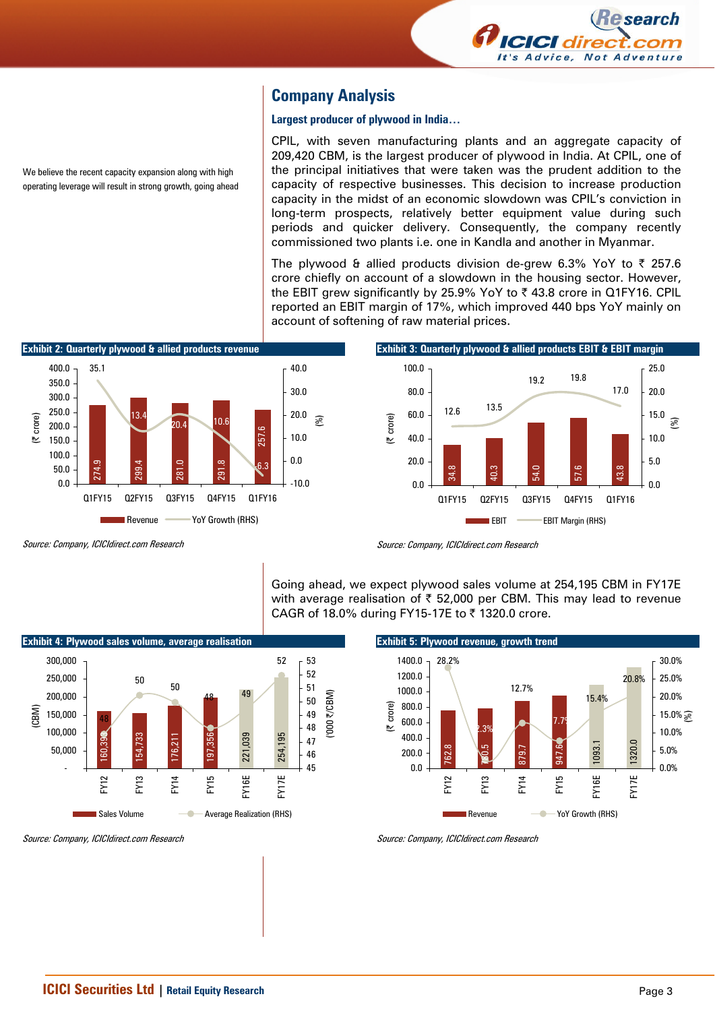

## **Company Analysis**

#### **Largest producer of plywood in India…**

CPIL, with seven manufacturing plants and an aggregate capacity of 209,420 CBM, is the largest producer of plywood in India. At CPIL, one of the principal initiatives that were taken was the prudent addition to the capacity of respective businesses. This decision to increase production capacity in the midst of an economic slowdown was CPIL's conviction in long-term prospects, relatively better equipment value during such periods and quicker delivery. Consequently, the company recently commissioned two plants i.e. one in Kandla and another in Myanmar.

The plywood & allied products division de-grew 6.3% YoY to  $\bar{\tau}$  257.6 crore chiefly on account of a slowdown in the housing sector. However, the EBIT grew significantly by 25.9% YoY to  $\bar{\tau}$  43.8 crore in Q1FY16. CPIL reported an EBIT margin of 17%, which improved 440 bps YoY mainly on account of softening of raw material prices.



Source: Company, ICICIdirect.com Research

We believe the recent capacity expansion along with high operating leverage will result in strong growth, going ahead



Going ahead, we expect plywood sales volume at 254,195 CBM in FY17E with average realisation of  $\bar{\tau}$  52,000 per CBM. This may lead to revenue CAGR of 18.0% during FY15-17E to  $\bar{\tau}$  1320.0 crore.





Source: Company, ICICIdirect.com Research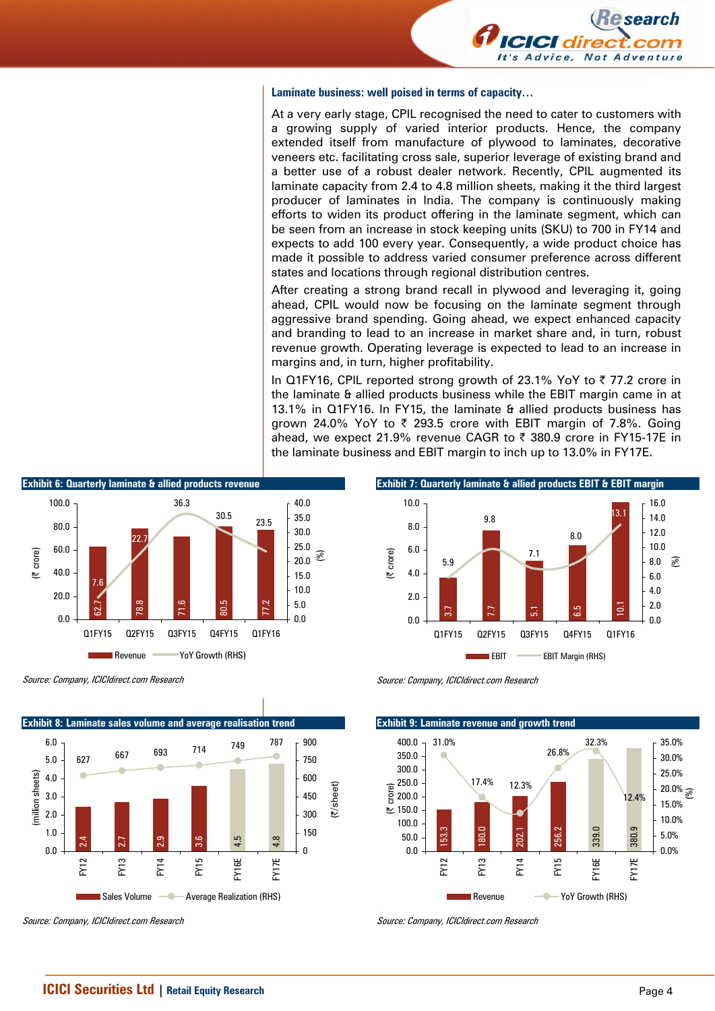

#### **Laminate business: well poised in terms of capacity…**

At a very early stage, CPIL recognised the need to cater to customers with a growing supply of varied interior products. Hence, the company extended itself from manufacture of plywood to laminates, decorative veneers etc. facilitating cross sale, superior leverage of existing brand and a better use of a robust dealer network. Recently, CPIL augmented its laminate capacity from 2.4 to 4.8 million sheets, making it the third largest producer of laminates in India. The company is continuously making efforts to widen its product offering in the laminate segment, which can be seen from an increase in stock keeping units (SKU) to 700 in FY14 and expects to add 100 every year. Consequently, a wide product choice has made it possible to address varied consumer preference across different states and locations through regional distribution centres.

After creating a strong brand recall in plywood and leveraging it, going ahead, CPIL would now be focusing on the laminate segment through aggressive brand spending. Going ahead, we expect enhanced capacity and branding to lead to an increase in market share and, in turn, robust revenue growth. Operating leverage is expected to lead to an increase in margins and, in turn, higher profitability.

In Q1FY16, CPIL reported strong growth of 23.1% YoY to  $\bar{\tau}$  77.2 crore in the laminate & allied products business while the EBIT margin came in at 13.1% in Q1FY16. In FY15, the laminate & allied products business has grown 24.0% YoY to  $\overline{\zeta}$  293.5 crore with EBIT margin of 7.8%. Going ahead, we expect 21.9% revenue CAGR to  $\bar{\tau}$  380.9 crore in FY15-17E in the laminate business and EBIT margin to inch up to 13.0% in FY17E.

**Exhibit 7: Quarterly laminate & allied products EBIT & EBIT margin** 

3.7<br>5.7 5.1 5.1 5.1 5.1 5.1<br>5.1 5.1 5.1 5.1 5.1

Q1FY15 Q2FY15 Q3FY15 Q4FY15 Q1FY16

EBIT EBIT Margin (RHS)

7.1

9.8 13.1

8.0



Source: Company, ICICIdirect.com Research



Source: Company, ICICIdirect.com Research

Source: Company, ICICIdirect.com Research

5.9

0.0 2.0 4.0 6.0 8.0 10.0

(| crore)

**Exhibit 9: Laminate revenue and growth trend** 153.3<br>180.0<br>202.1<br>256.2 339.0 380.9 31.0% 17.4% 26.8% 32.3% 12.4% 12.3% 0.0 50.0 100.0  $\stackrel{15}{\sim} 150.0$ 200.0 250.0 300.0 350.0 400.0 FY12 FY13 FY14 FY15 FY16E FY17E (| crore) 0.0% 5.0% 10.0% 15.0%  $20.0\%$   $\frac{1}{\mathcal{S}}$ 25.0% 30.0% 35.0% Revenue **- Yoy Growth (RHS)** 

Source: Company, ICICIdirect.com Research

0.0 2.0 4.0 6.0 8.0 10.0 12.0 14.0 16.0

(%)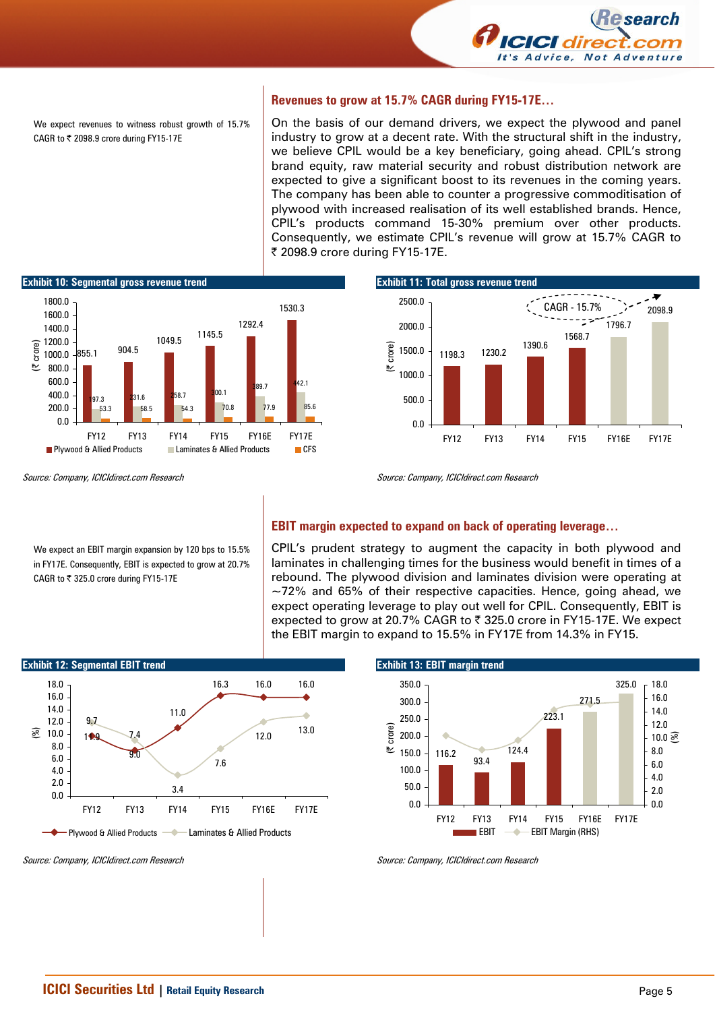

We expect revenues to witness robust growth of 15.7% CAGR to  $₹$  2098.9 crore during FY15-17E

#### **Revenues to grow at 15.7% CAGR during FY15-17E…**

On the basis of our demand drivers, we expect the plywood and panel industry to grow at a decent rate. With the structural shift in the industry, we believe CPIL would be a key beneficiary, going ahead. CPIL's strong brand equity, raw material security and robust distribution network are expected to give a significant boost to its revenues in the coming years. The company has been able to counter a progressive commoditisation of plywood with increased realisation of its well established brands. Hence, CPIL's products command 15-30% premium over other products. Consequently, we estimate CPIL's revenue will grow at 15.7% CAGR to ₹ 2098.9 crore during FY15-17E.



Source: Company, ICICIdirect.com Research

CAGR to  $\overline{z}$  325.0 crore during FY15-17E

We expect an EBIT margin expansion by 120 bps to 15.5% in FY17E. Consequently, EBIT is expected to grow at 20.7%



Source: Company, ICICIdirect.com Research

#### **EBIT margin expected to expand on back of operating leverage…**

CPIL's prudent strategy to augment the capacity in both plywood and laminates in challenging times for the business would benefit in times of a rebound. The plywood division and laminates division were operating at  $\sim$ 72% and 65% of their respective capacities. Hence, going ahead, we expect operating leverage to play out well for CPIL. Consequently, EBIT is expected to grow at 20.7% CAGR to ₹ 325.0 crore in FY15-17E. We expect the EBIT margin to expand to 15.5% in FY17E from 14.3% in FY15.



Source: Company, ICICIdirect.com Research

**Exhibit 13: EBIT margin trend**  116.2 93.4 124.4 223.1 271.5 325.0 0.0 50.0 100.0 150.0 200.0 250.0 300.0 350.0 FY12 FY13 FY14 FY15 FY16E FY17E (| crore) 0.0 2.0 4.0 6.0 8.0  $10.0 \mathcal{S}$ 12.0 14.0 16.0  $-18.0$ EBIT **- EBIT Margin (RHS)** 

Source: Company, ICICIdirect.com Research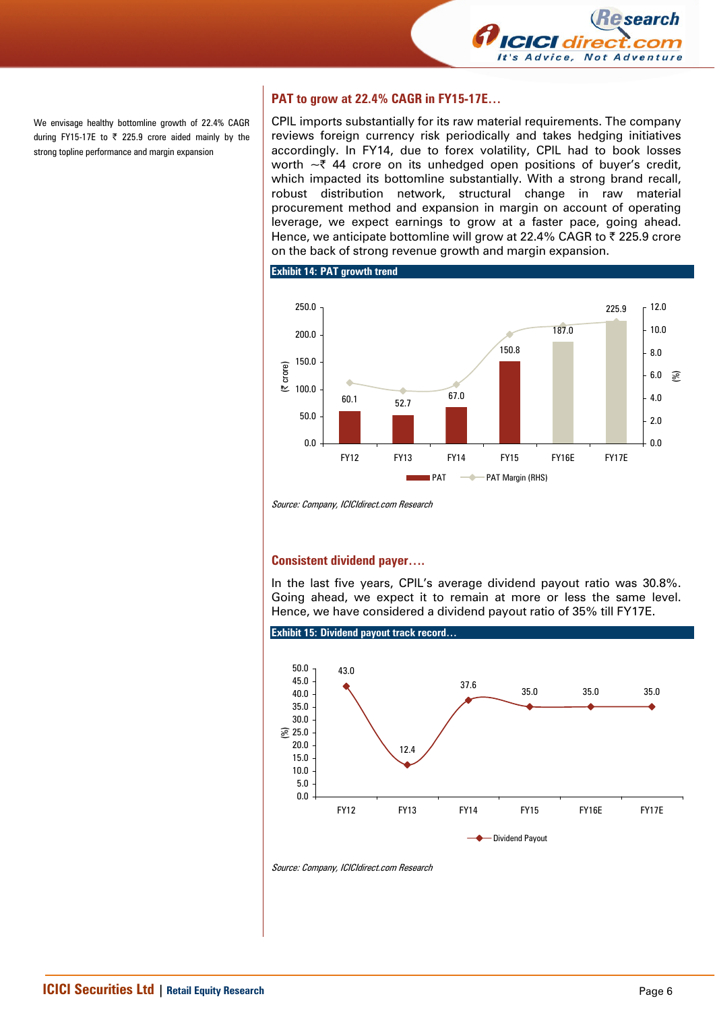

We envisage healthy bottomline growth of 22.4% CAGR during FY15-17E to  $\overline{\zeta}$  225.9 crore aided mainly by the strong topline performance and margin expansion

### **PAT to grow at 22.4% CAGR in FY15-17E…**

CPIL imports substantially for its raw material requirements. The company reviews foreign currency risk periodically and takes hedging initiatives accordingly. In FY14, due to forex volatility, CPIL had to book losses worth  $\sim$  744 crore on its unhedged open positions of buyer's credit, which impacted its bottomline substantially. With a strong brand recall, robust distribution network, structural change in raw material procurement method and expansion in margin on account of operating leverage, we expect earnings to grow at a faster pace, going ahead. Hence, we anticipate bottomline will grow at 22.4% CAGR to ₹225.9 crore on the back of strong revenue growth and margin expansion.

**Exhibit 14: PAT growth trend** 



Source: Company, ICICIdirect.com Research

#### **Consistent dividend payer….**

In the last five years, CPIL's average dividend payout ratio was 30.8%. Going ahead, we expect it to remain at more or less the same level. Hence, we have considered a dividend payout ratio of 35% till FY17E.



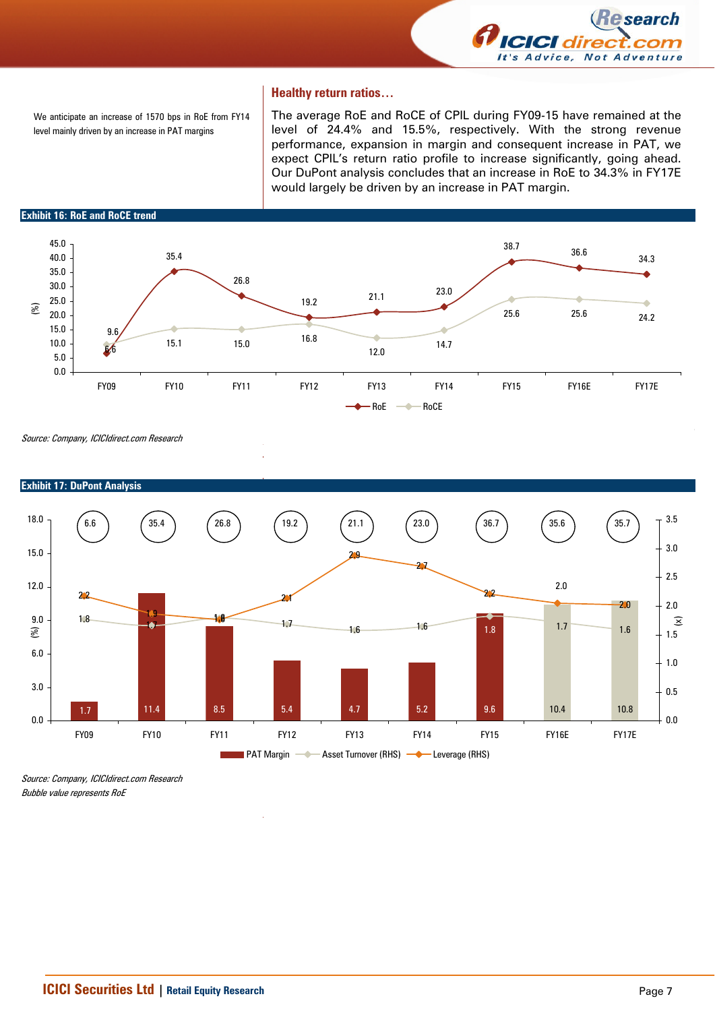

#### **Healthy return ratios…**

We anticipate an increase of 1570 bps in RoE from FY14 level mainly driven by an increase in PAT margins

The average RoE and RoCE of CPIL during FY09-15 have remained at the level of 24.4% and 15.5%, respectively. With the strong revenue performance, expansion in margin and consequent increase in PAT, we expect CPIL's return ratio profile to increase significantly, going ahead. Our DuPont analysis concludes that an increase in RoE to 34.3% in FY17E would largely be driven by an increase in PAT margin.

**Exhibit 16: RoE and RoCE trend** 



Source: Company, ICICIdirect.com Research



## **Exhibit 17: DuPont Analysis**

Source: Company, ICICIdirect.com Research Bubble value represents RoE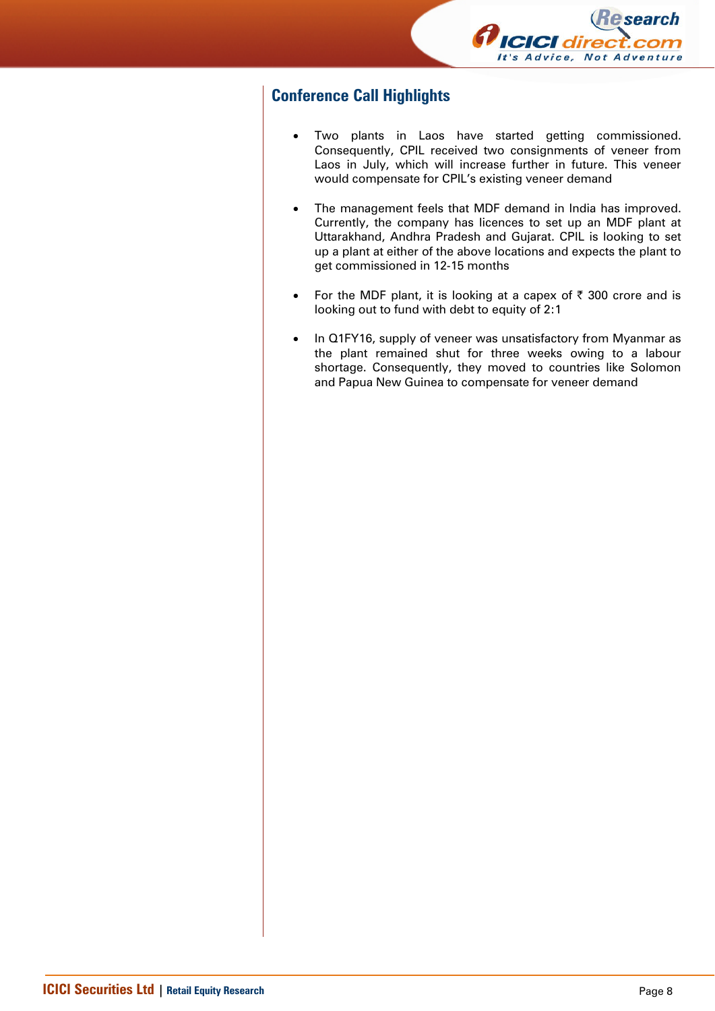

# **Conference Call Highlights**

- Two plants in Laos have started getting commissioned. Consequently, CPIL received two consignments of veneer from Laos in July, which will increase further in future. This veneer would compensate for CPIL's existing veneer demand
- The management feels that MDF demand in India has improved. Currently, the company has licences to set up an MDF plant at Uttarakhand, Andhra Pradesh and Gujarat. CPIL is looking to set up a plant at either of the above locations and expects the plant to get commissioned in 12-15 months
- For the MDF plant, it is looking at a capex of  $\bar{\tau}$  300 crore and is looking out to fund with debt to equity of 2:1
- In Q1FY16, supply of veneer was unsatisfactory from Myanmar as the plant remained shut for three weeks owing to a labour shortage. Consequently, they moved to countries like Solomon and Papua New Guinea to compensate for veneer demand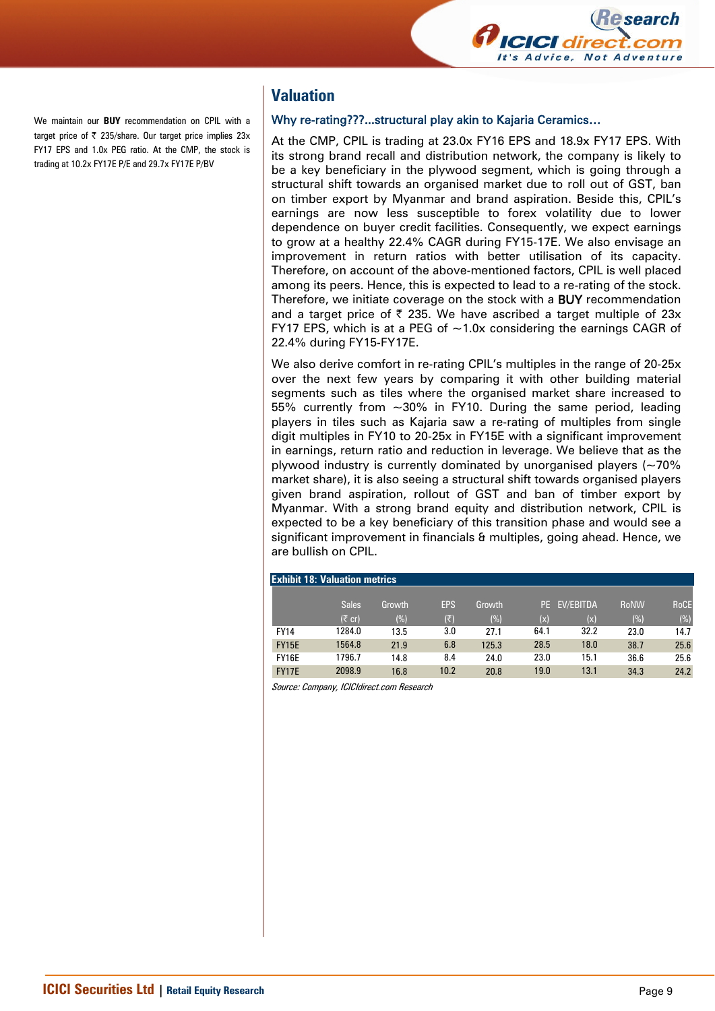

We maintain our **BUY** recommendation on CPIL with a target price of  $\bar{\tau}$  235/share. Our target price implies 23x FY17 EPS and 1.0x PEG ratio. At the CMP, the stock is trading at 10.2x FY17E P/E and 29.7x FY17E P/BV

## **Valuation**

#### Why re-rating???...structural play akin to Kajaria Ceramics…

At the CMP, CPIL is trading at 23.0x FY16 EPS and 18.9x FY17 EPS. With its strong brand recall and distribution network, the company is likely to be a key beneficiary in the plywood segment, which is going through a structural shift towards an organised market due to roll out of GST, ban on timber export by Myanmar and brand aspiration. Beside this, CPIL's earnings are now less susceptible to forex volatility due to lower dependence on buyer credit facilities. Consequently, we expect earnings to grow at a healthy 22.4% CAGR during FY15-17E. We also envisage an improvement in return ratios with better utilisation of its capacity. Therefore, on account of the above-mentioned factors, CPIL is well placed among its peers. Hence, this is expected to lead to a re-rating of the stock. Therefore, we initiate coverage on the stock with a BUY recommendation and a target price of  $\bar{\tau}$  235. We have ascribed a target multiple of 23x FY17 EPS, which is at a PEG of  $\sim$ 1.0x considering the earnings CAGR of 22.4% during FY15-FY17E.

We also derive comfort in re-rating CPIL's multiples in the range of 20-25x over the next few years by comparing it with other building material segments such as tiles where the organised market share increased to 55% currently from ~30% in FY10. During the same period, leading players in tiles such as Kajaria saw a re-rating of multiples from single digit multiples in FY10 to 20-25x in FY15E with a significant improvement in earnings, return ratio and reduction in leverage. We believe that as the plywood industry is currently dominated by unorganised players  $(-70\%$ market share), it is also seeing a structural shift towards organised players given brand aspiration, rollout of GST and ban of timber export by Myanmar. With a strong brand equity and distribution network, CPIL is expected to be a key beneficiary of this transition phase and would see a significant improvement in financials & multiples, going ahead. Hence, we are bullish on CPIL.

|  | <b>Exhibit 18: Valuation metrics</b> |  |  |  |
|--|--------------------------------------|--|--|--|
|--|--------------------------------------|--|--|--|

|              | <b>Sales</b>     | Growth | <b>EPS</b> | Growth |      | PE EV/EBITDA | <b>RoNW</b> | <b>RoCE</b> |
|--------------|------------------|--------|------------|--------|------|--------------|-------------|-------------|
|              | $(5 \text{ cr})$ | (%)    | (₹)        | (%)    | (x)  | (x)          | (%)         | $(\%)$      |
| <b>FY14</b>  | 1284.0           | 13.5   | 3.0        | 27.1   | 64.1 | 32.2         | 23.0        | 14.7        |
| <b>FY15E</b> | 1564.8           | 21.9   | 6.8        | 125.3  | 28.5 | 18.0         | 38.7        | 25.6        |
| FY16E        | 1796.7           | 14.8   | 8.4        | 24.0   | 23.0 | 15.1         | 36.6        | 25.6        |
| <b>FY17E</b> | 2098.9           | 16.8   | 10.2       | 20.8   | 19.0 | 13.1         | 34.3        | 24.2        |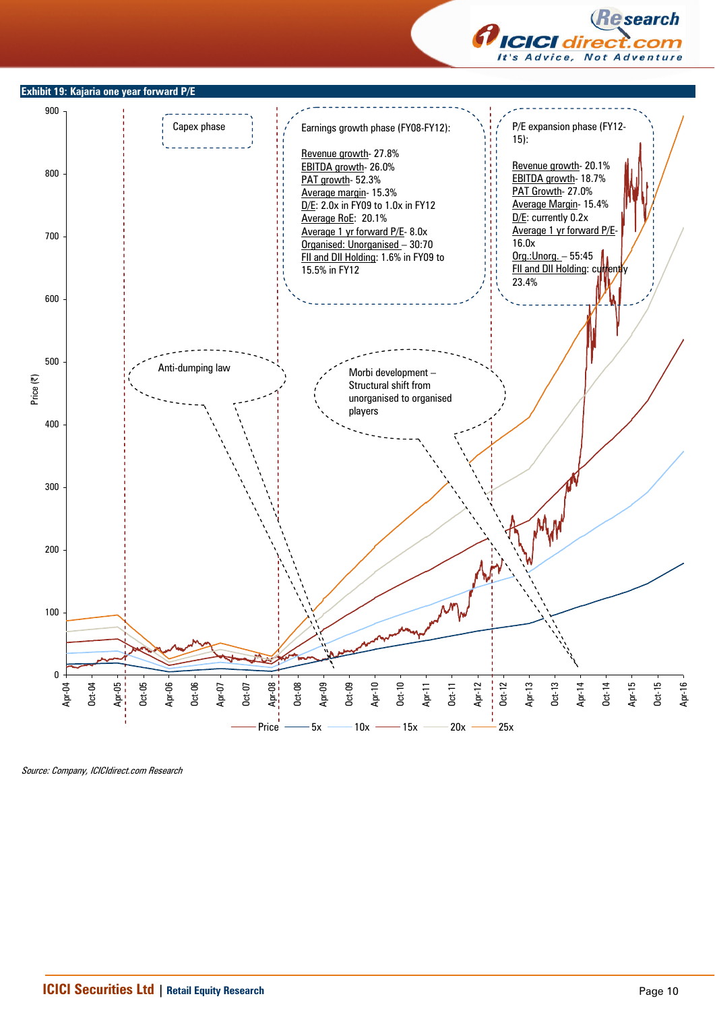



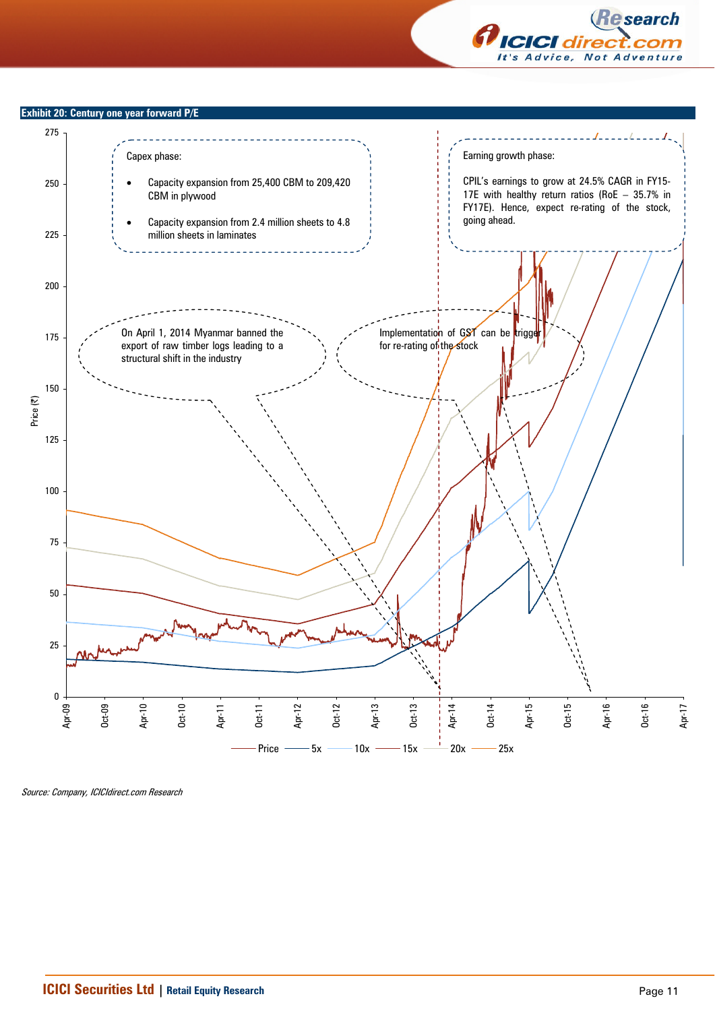

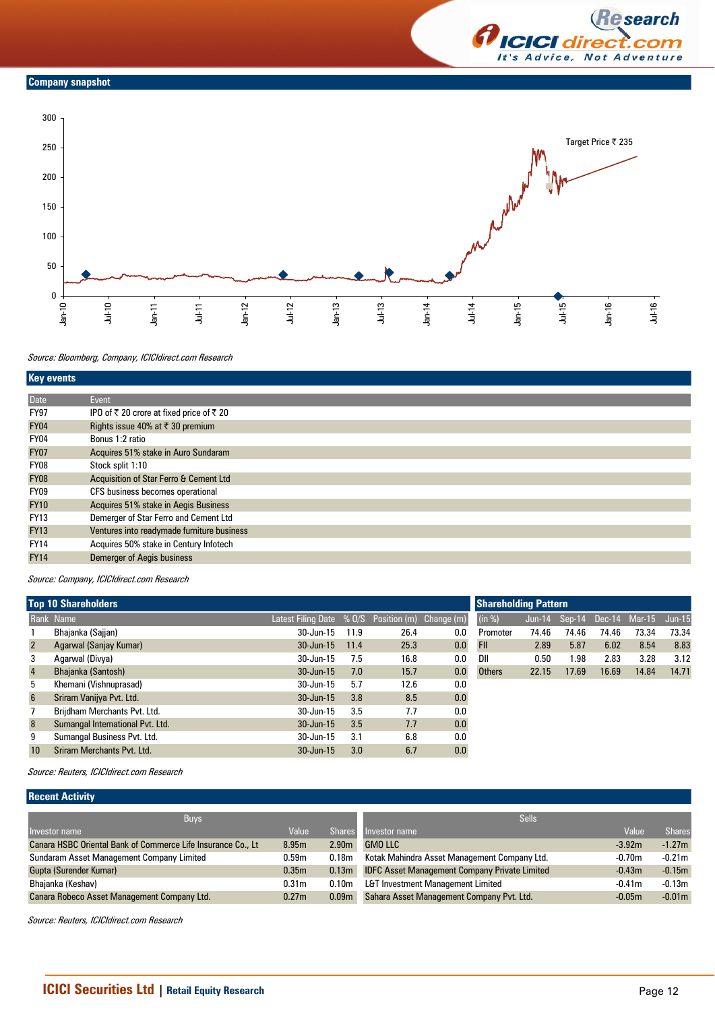



#### Source: Bloomberg, Company, ICICIdirect.com Research

| <b>Key events</b> |                                            |
|-------------------|--------------------------------------------|
|                   |                                            |
| Date              | Event                                      |
| <b>FY97</b>       | IPO of ₹ 20 crore at fixed price of ₹ 20   |
| <b>FY04</b>       | Rights issue 40% at ₹ 30 premium           |
| FY04              | Bonus 1:2 ratio                            |
| <b>FY07</b>       | Acquires 51% stake in Auro Sundaram        |
| FY08              | Stock split 1:10                           |
| <b>FY08</b>       | Acquisition of Star Ferro & Cement Ltd     |
| FY09              | CFS business becomes operational           |
| <b>FY10</b>       | Acquires 51% stake in Aegis Business       |
| <b>FY13</b>       | Demerger of Star Ferro and Cement Ltd      |
| <b>FY13</b>       | Ventures into readymade furniture business |
| <b>FY14</b>       | Acquires 50% stake in Century Infotech     |
| <b>FY14</b>       | <b>Demerger of Aegis business</b>          |

Source: Company, ICICIdirect.com Research

|                 | <b>Top 10 Shareholders</b>       | <b>Shareholding Pattern</b>                        |      |      |     |               |       |       |                             |       |          |
|-----------------|----------------------------------|----------------------------------------------------|------|------|-----|---------------|-------|-------|-----------------------------|-------|----------|
|                 | Rank Name                        | Latest Filing Date $% 0/S$ Position (m) Change (m) |      |      |     | (in %)        |       |       | Jun-14 Sep-14 Dec-14 Mar-15 |       | $Jun-15$ |
|                 | Bhajanka (Sajjan)                | 30-Jun-15                                          | 11.9 | 26.4 | 0.0 | Promoter      | 74.46 | 74.46 | 74.46                       | 73.34 | 73.34    |
| $\overline{2}$  | Agarwal (Sanjay Kumar)           | $30 - Jun-15$                                      | 11.4 | 25.3 | 0.0 | <b>FII</b>    | 2.89  | 5.87  | 6.02                        | 8.54  | 8.83     |
| 3               | Agarwal (Divya)                  | 30-Jun-15                                          | 7.5  | 16.8 | 0.0 | DII           | 0.50  | 1.98  | 2.83                        | 3.28  | 3.12     |
| $\overline{4}$  | Bhajanka (Santosh)               | $30 - Jun-15$                                      | 7.0  | 15.7 | 0.0 | <b>Others</b> | 22.15 | 17.69 | 16.69                       | 14.84 | 14.71    |
| 5               | Khemani (Vishnuprasad)           | 30-Jun-15                                          | 5.7  | 12.6 | 0.0 |               |       |       |                             |       |          |
| $6\overline{6}$ | Sriram Vanijya Pvt. Ltd.         | $30 - Jun-15$                                      | 3.8  | 8.5  | 0.0 |               |       |       |                             |       |          |
|                 | Brijdham Merchants Pvt. Ltd.     | $30 - Jun-15$                                      | 3.5  | 7.7  | 0.0 |               |       |       |                             |       |          |
| 8               | Sumangal International Pvt. Ltd. | $30 - Jun-15$                                      | 3.5  | 7.7  | 0.0 |               |       |       |                             |       |          |
| 9               | Sumangal Business Pvt. Ltd.      | 30-Jun-15                                          | 3.1  | 6.8  | 0.0 |               |       |       |                             |       |          |
| 10              | Sriram Merchants Pvt. Ltd.       | $30 - Jun-15$                                      | 3.0  | 6.7  | 0.0 |               |       |       |                             |       |          |

Source: Reuters, ICICIdirect.com Research

## **Recent Activity**

| <b>Buys</b>                                                  |                   |                   | <b>Sells</b>                                        |          |               |
|--------------------------------------------------------------|-------------------|-------------------|-----------------------------------------------------|----------|---------------|
| Investor name                                                | Value             | <b>Shares</b>     | Investor name                                       | Value    | <b>Shares</b> |
| Canara HSBC Oriental Bank of Commerce Life Insurance Co., Lt | 8.95m             | 2.90 <sub>m</sub> | <b>GMO LLC</b>                                      | $-3.92m$ | $-1.27m$      |
| Sundaram Asset Management Company Limited                    | 0.59m             | 0.18 <sub>m</sub> | Kotak Mahindra Asset Management Company Ltd.        | $-0.70m$ | $-0.21m$      |
| Gupta (Surender Kumar)                                       | 0.35 <sub>m</sub> |                   | 0.13m IDFC Asset Management Company Private Limited | $-0.43m$ | $-0.15m$      |
| Bhajanka (Keshav)                                            | 0.31 <sub>m</sub> | 0.10 <sub>m</sub> | L&T Investment Management Limited                   | $-0.41m$ | $-0.13m$      |
| Canara Robeco Asset Management Company Ltd.                  | 0.27 <sub>m</sub> | 0.09 <sub>m</sub> | Sahara Asset Management Company Pvt. Ltd.           | $-0.05m$ | $-0.01m$      |

Source: Reuters, ICICIdirect.com Research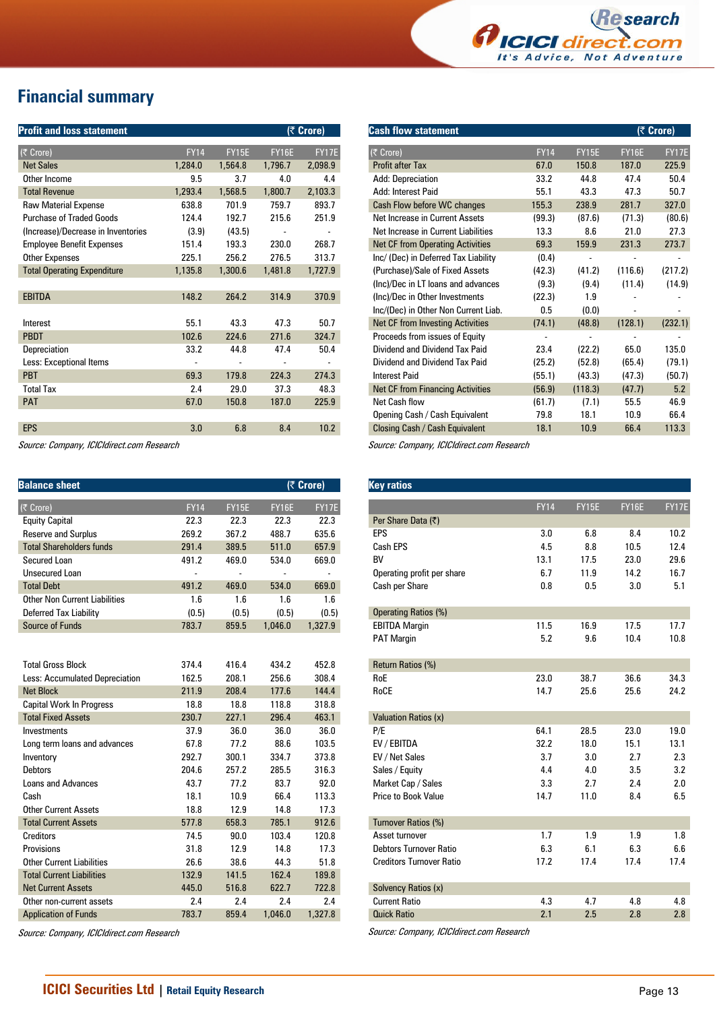

# **Financial summary**

| <b>Profit and loss statement</b>   |             |              |              | (₹ Crore)      |
|------------------------------------|-------------|--------------|--------------|----------------|
| (₹ Crore)                          | <b>FY14</b> | <b>FY15E</b> | <b>FY16E</b> | <b>FY17E</b>   |
| <b>Net Sales</b>                   | 1,284.0     | 1,564.8      | 1,796.7      | 2,098.9        |
| Other Income                       | 9.5         | 3.7          | 4.0          | 4.4            |
| <b>Total Revenue</b>               | 1,293.4     | 1,568.5      | 1,800.7      | 2,103.3        |
| <b>Raw Material Expense</b>        | 638.8       | 701.9        | 759.7        | 893.7          |
| <b>Purchase of Traded Goods</b>    | 124.4       | 192.7        | 215.6        | 251.9          |
| (Increase)/Decrease in Inventories | (3.9)       | (43.5)       |              |                |
| <b>Employee Benefit Expenses</b>   | 151.4       | 193.3        | 230.0        | 268.7          |
| <b>Other Expenses</b>              | 225.1       | 256.2        | 276.5        | 313.7          |
| <b>Total Operating Expenditure</b> | 1,135.8     | 1,300.6      | 1,481.8      | 1,727.9        |
|                                    |             |              |              |                |
| <b>EBITDA</b>                      | 148.2       | 264.2        | 314.9        | 370.9          |
|                                    |             |              |              |                |
| Interest                           | 55.1        | 43.3         | 47.3         | 50.7           |
| <b>PBDT</b>                        | 102.6       | 224.6        | 271.6        | 324.7          |
| Depreciation                       | 33.2        | 44.8         | 47.4         | 50.4           |
| Less: Exceptional Items            |             |              |              | $\overline{a}$ |
| <b>PBT</b>                         | 69.3        | 179.8        | 224.3        | 274.3          |
| <b>Total Tax</b>                   | 2.4         | 29.0         | 37.3         | 48.3           |
| <b>PAT</b>                         | 67.0        | 150.8        | 187.0        | 225.9          |
|                                    |             |              |              |                |
| <b>EPS</b>                         | 3.0         | 6.8          | 8.4          | 10.2           |
|                                    |             |              |              |                |

Source: Company, ICICIdirect.com Research

| <b>Balance sheet</b>                 |                |              |              | (₹ Crore) |
|--------------------------------------|----------------|--------------|--------------|-----------|
| (そ Crore)                            | <b>FY14</b>    | <b>FY15E</b> | <b>FY16E</b> | FY17E     |
| <b>Equity Capital</b>                | 22.3           | 22.3         | 22.3         | 22.3      |
| <b>Reserve and Surplus</b>           | 269.2          | 367.2        | 488.7        | 635.6     |
| <b>Total Shareholders funds</b>      | 291.4          | 389.5        | 511.0        | 657.9     |
| Secured Loan                         | 491.2          | 469.0        | 534.0        | 669.0     |
| <b>Unsecured Loan</b>                | $\overline{a}$ |              |              | ٠         |
| <b>Total Debt</b>                    | 491.2          | 469.0        | 534.0        | 669.0     |
| <b>Other Non Current Liabilities</b> | 1.6            | 1.6          | 1.6          | 1.6       |
| Deferred Tax Liability               | (0.5)          | (0.5)        | (0.5)        | (0.5)     |
| Source of Funds                      | 783.7          | 859.5        | 1,046.0      | 1,327.9   |
| <b>Total Gross Block</b>             | 374.4          | 416.4        | 434.2        | 452.8     |
| Less: Accumulated Depreciation       | 162.5          | 208.1        | 256.6        | 308.4     |
| <b>Net Block</b>                     | 211.9          | 208.4        | 177.6        | 144.4     |
| <b>Capital Work In Progress</b>      | 18.8           | 18.8         | 118.8        | 318.8     |
| <b>Total Fixed Assets</b>            | 230.7          | 227.1        | 296.4        | 463.1     |
| Investments                          | 37.9           | 36.0         | 36.0         | 36.0      |
| Long term loans and advances         | 67.8           | 77.2         | 88.6         | 103.5     |
| Inventory                            | 292.7          | 300.1        | 334.7        | 373.8     |
| <b>Debtors</b>                       | 204.6          | 257.2        | 285.5        | 316.3     |
| <b>Loans and Advances</b>            | 43.7           | 77.2         | 83.7         | 92.0      |
| Cash                                 | 18.1           | 10.9         | 66.4         | 113.3     |
| <b>Other Current Assets</b>          | 18.8           | 12.9         | 14.8         | 17.3      |
| <b>Total Current Assets</b>          | 577.8          | 658.3        | 785.1        | 912.6     |
| Creditors                            | 74.5           | 90.0         | 103.4        | 120.8     |
| Provisions                           | 31.8           | 12.9         | 14.8         | 17.3      |
| <b>Other Current Liabilities</b>     | 26.6           | 38.6         | 44.3         | 51.8      |
| <b>Total Current Liabilities</b>     | 132.9          | 141.5        | 162.4        | 189.8     |
| <b>Net Current Assets</b>            | 445.0          | 516.8        | 622.7        | 722.8     |
| Other non-current assets             | 2.4            | 2.4          | 2.4          | 2.4       |
| <b>Application of Funds</b>          | 783.7          | 859.4        | 1,046.0      | 1,327.8   |

Source: Company, ICICIdirect.com Research

| <b>Cash flow statement</b>              |             |              |              | (₹ Crore)    |
|-----------------------------------------|-------------|--------------|--------------|--------------|
| (₹ Crore)                               | <b>FY14</b> | <b>FY15E</b> | <b>FY16E</b> | <b>FY17E</b> |
| <b>Profit after Tax</b>                 | 67.0        | 150.8        | 187.0        | 225.9        |
| Add: Depreciation                       | 33.2        | 44.8         | 47.4         | 50.4         |
| Add: Interest Paid                      | 55.1        | 43.3         | 47.3         | 50.7         |
| Cash Flow before WC changes             | 155.3       | 238.9        | 281.7        | 327.0        |
| Net Increase in Current Assets          | (99.3)      | (87.6)       | (71.3)       | (80.6)       |
| Net Increase in Current Liabilities     | 13.3        | 8.6          | 21.0         | 27.3         |
| <b>Net CF from Operating Activities</b> | 69.3        | 159.9        | 231.3        | 273.7        |
| Inc/ (Dec) in Deferred Tax Liability    | (0.4)       |              |              |              |
| (Purchase)/Sale of Fixed Assets         | (42.3)      | (41.2)       | (116.6)      | (217.2)      |
| (Inc)/Dec in LT loans and advances      | (9.3)       | (9.4)        | (11.4)       | (14.9)       |
| (Inc)/Dec in Other Investments          | (22.3)      | 1.9          |              |              |
| Inc/(Dec) in Other Non Current Liab.    | $0.5\,$     | (0.0)        |              |              |
| <b>Net CF from Investing Activities</b> | (74.1)      | (48.8)       | (128.1)      | (232.1)      |
| Proceeds from issues of Equity          |             |              |              |              |
| Dividend and Dividend Tax Paid          | 23.4        | (22.2)       | 65.0         | 135.0        |
| Dividend and Dividend Tax Paid          | (25.2)      | (52.8)       | (65.4)       | (79.1)       |
| <b>Interest Paid</b>                    | (55.1)      | (43.3)       | (47.3)       | (50.7)       |
| <b>Net CF from Financing Activities</b> | (56.9)      | (118.3)      | (47.7)       | 5.2          |
| Net Cash flow                           | (61.7)      | (7.1)        | 55.5         | 46.9         |
| Opening Cash / Cash Equivalent          | 79.8        | 18.1         | 10.9         | 66.4         |
| Closing Cash / Cash Equivalent          | 18.1        | 10.9         | 66.4         | 113.3        |

Source: Company, ICICIdirect.com Research

| <b>Key ratios</b>               |             |              |              |       |
|---------------------------------|-------------|--------------|--------------|-------|
|                                 | <b>FY14</b> | <b>FY15E</b> | <b>FY16E</b> | FY17E |
| Per Share Data (₹)              |             |              |              |       |
| EPS                             | 3.0         | 6.8          | 8.4          | 10.2  |
| <b>Cash EPS</b>                 | 4.5         | 8.8          | 10.5         | 12.4  |
| <b>BV</b>                       | 13.1        | 17.5         | 23.0         | 29.6  |
| Operating profit per share      | 6.7         | 11.9         | 14.2         | 16.7  |
| Cash per Share                  | 0.8         | 0.5          | 3.0          | 5.1   |
| <b>Operating Ratios (%)</b>     |             |              |              |       |
| <b>EBITDA Margin</b>            | 11.5        | 16.9         | 17.5         | 17.7  |
| <b>PAT Margin</b>               | 5.2         | 9.6          | 10.4         | 10.8  |
| <b>Return Ratios (%)</b>        |             |              |              |       |
| RoE                             | 23.0        | 38.7         | 36.6         | 34.3  |
| RoCE                            | 14.7        | 25.6         | 25.6         | 24.2  |
| <b>Valuation Ratios (x)</b>     |             |              |              |       |
| P/E                             | 64.1        | 28.5         | 23.0         | 19.0  |
| EV / EBITDA                     | 32.2        | 18.0         | 15.1         | 13.1  |
| EV / Net Sales                  | 3.7         | 3.0          | 2.7          | 2.3   |
| Sales / Equity                  | 4.4         | 4.0          | 3.5          | 3.2   |
| Market Cap / Sales              | 3.3         | 2.7          | 2.4          | 2.0   |
| <b>Price to Book Value</b>      | 14.7        | 11.0         | 8.4          | 6.5   |
| <b>Turnover Ratios (%)</b>      |             |              |              |       |
| Asset turnover                  | 1.7         | 1.9          | 1.9          | 1.8   |
| Debtors Turnover Ratio          | 6.3         | 6.1          | 6.3          | 6.6   |
| <b>Creditors Turnover Ratio</b> | 17.2        | 17.4         | 17.4         | 17.4  |
| Solvency Ratios (x)             |             |              |              |       |
| <b>Current Ratio</b>            | 4.3         | 4.7          | 4.8          | 4.8   |
| <b>Quick Ratio</b>              | 2.1         | 2.5          | 2.8          | 2.8   |
|                                 |             |              |              |       |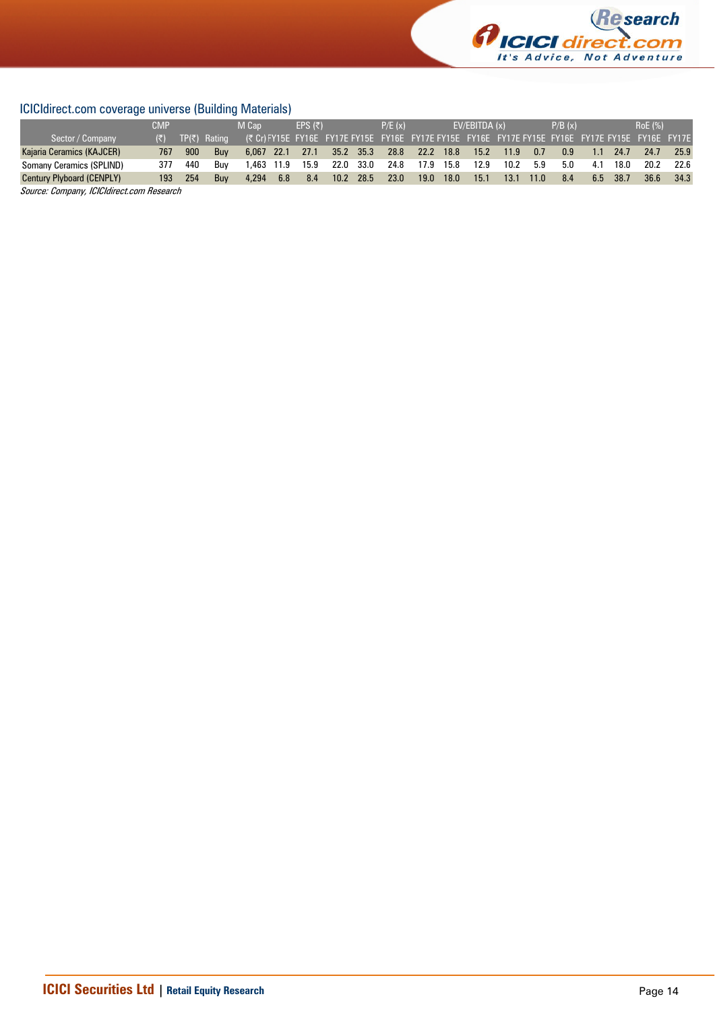

## ICICIdirect.com coverage universe (Building Materials)

|                                  | <b>CMP</b> |     |              | M Cap      |     | $FPS(\bar{z})$  |           |           | P/E(x) |                                                                                                  | EV/EBITDA(x) |      |      | P/B(x) |     |      | <b>RoE</b> (%) |      |
|----------------------------------|------------|-----|--------------|------------|-----|-----------------|-----------|-----------|--------|--------------------------------------------------------------------------------------------------|--------------|------|------|--------|-----|------|----------------|------|
| Sector / Company                 | (₹) -      |     | TP(₹) Rating |            |     |                 |           |           |        | (₹ Cr) FY15E FY16E FY17E FY15E FY16E FY17E FY15E FY16E FY17E FY15E FY16E FY17E FY15E FY16E FY17E |              |      |      |        |     |      |                |      |
| Kajaria Ceramics (KAJCER)        | 767        | 900 | Buv          |            |     | 6.067 22.1 27.1 | 35.2 35.3 |           | 28.8   | 22.2 18.8                                                                                        | 15.2         | 11.9 | 0.7  | 0.9    | 1.1 | 24.7 | 24.7           | 25.9 |
| Somany Ceramics (SPLIND)         | 377        | 440 | Buv          | 1,463 11.9 |     | 15.9            |           | 22.0 33.0 | 24.8   | 17.9 15.8                                                                                        | 12.9         | 10.2 | 5.9  | 5.0    | 4.1 | 18.0 | 20.2           | 22.6 |
| <b>Century Plyboard (CENPLY)</b> | 193.       | 254 | <b>Buv</b>   | 4.294      | 6.8 | 8.4             | 10.2 28.5 |           | 23.0   | 19.0 18.0                                                                                        | 15.1         | 13.1 | 11.0 | 8.4    | 6.5 | 38.7 | 36.6           | 34.3 |
| $\frac{1}{2}$                    |            |     |              |            |     |                 |           |           |        |                                                                                                  |              |      |      |        |     |      |                |      |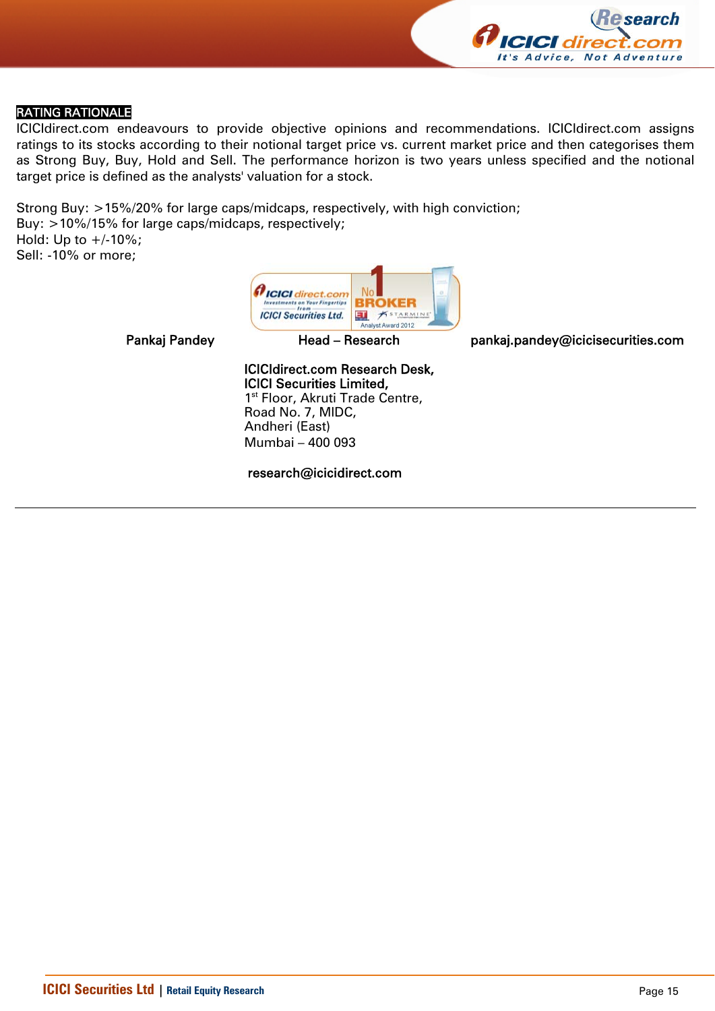

### RATING RATIONALE

ICICIdirect.com endeavours to provide objective opinions and recommendations. ICICIdirect.com assigns ratings to its stocks according to their notional target price vs. current market price and then categorises them as Strong Buy, Buy, Hold and Sell. The performance horizon is two years unless specified and the notional target price is defined as the analysts' valuation for a stock.

Strong Buy: >15%/20% for large caps/midcaps, respectively, with high conviction; Buy: >10%/15% for large caps/midcaps, respectively; Hold: Up to  $+/10%$ ; Sell: -10% or more;



Pankaj Pandey **Head – Research head pankaj.pandey@icicisecurities.com** 

ICICIdirect.com Research Desk, ICICI Securities Limited, 1<sup>st</sup> Floor, Akruti Trade Centre, Road No. 7, MIDC, Andheri (East) Mumbai – 400 093

research@icicidirect.com